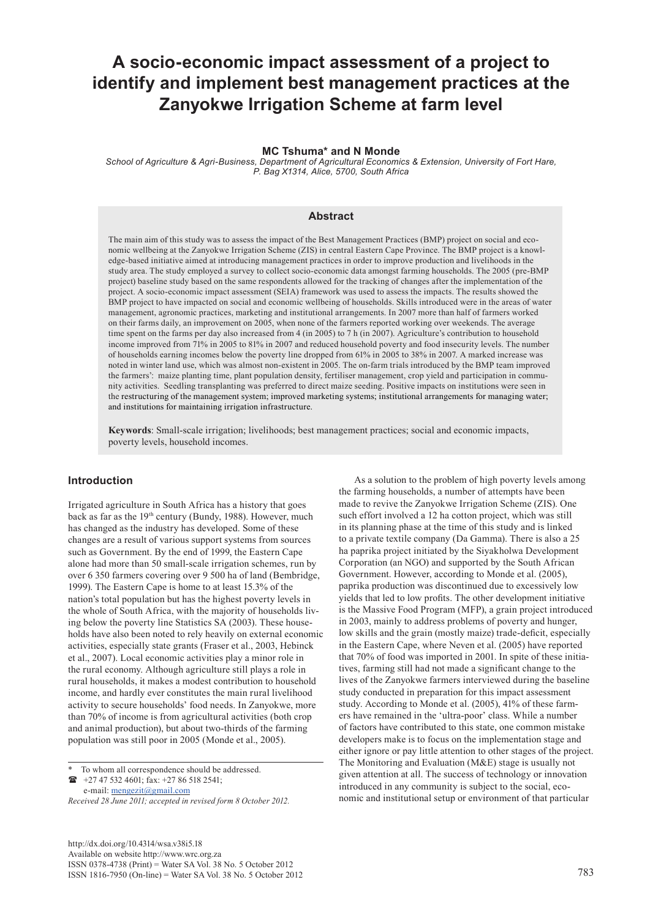# **A socio-economic impact assessment of a project to identify and implement best management practices at the Zanyokwe Irrigation Scheme at farm level**

#### **MC Tshuma\* and N Monde**

*School of Agriculture & Agri-Business, Department of Agricultural Economics & Extension, University of Fort Hare, P. Bag X1314, Alice, 5700, South Africa*

#### **Abstract**

The main aim of this study was to assess the impact of the Best Management Practices (BMP) project on social and economic wellbeing at the Zanyokwe Irrigation Scheme (ZIS) in central Eastern Cape Province. The BMP project is a knowledge-based initiative aimed at introducing management practices in order to improve production and livelihoods in the study area. The study employed a survey to collect socio-economic data amongst farming households. The 2005 (pre-BMP project) baseline study based on the same respondents allowed for the tracking of changes after the implementation of the project. A socio-economic impact assessment (SEIA) framework was used to assess the impacts. The results showed the BMP project to have impacted on social and economic wellbeing of households. Skills introduced were in the areas of water management, agronomic practices, marketing and institutional arrangements. In 2007 more than half of farmers worked on their farms daily, an improvement on 2005, when none of the farmers reported working over weekends. The average time spent on the farms per day also increased from 4 (in 2005) to 7 h (in 2007). Agriculture's contribution to household income improved from 71% in 2005 to 81% in 2007 and reduced household poverty and food insecurity levels. The number of households earning incomes below the poverty line dropped from 61% in 2005 to 38% in 2007. A marked increase was noted in winter land use, which was almost non-existent in 2005. The on-farm trials introduced by the BMP team improved the farmers': maize planting time, plant population density, fertiliser management, crop yield and participation in community activities. Seedling transplanting was preferred to direct maize seeding. Positive impacts on institutions were seen in the restructuring of the management system; improved marketing systems; institutional arrangements for managing water; and institutions for maintaining irrigation infrastructure.

**Keywords**: Small-scale irrigation; livelihoods; best management practices; social and economic impacts, poverty levels, household incomes.

#### **Introduction**

Irrigated agriculture in South Africa has a history that goes back as far as the  $19<sup>th</sup>$  century (Bundy, 1988). However, much has changed as the industry has developed. Some of these changes are a result of various support systems from sources such as Government. By the end of 1999, the Eastern Cape alone had more than 50 small-scale irrigation schemes, run by over 6 350 farmers covering over 9 500 ha of land (Bembridge, 1999). The Eastern Cape is home to at least 15.3% of the nation's total population but has the highest poverty levels in the whole of South Africa, with the majority of households living below the poverty line Statistics SA (2003). These households have also been noted to rely heavily on external economic activities, especially state grants (Fraser et al., 2003, Hebinck et al., 2007). Local economic activities play a minor role in the rural economy. Although agriculture still plays a role in rural households, it makes a modest contribution to household income, and hardly ever constitutes the main rural livelihood activity to secure households' food needs. In Zanyokwe, more than 70% of income is from agricultural activities (both crop and animal production), but about two-thirds of the farming population was still poor in 2005 (Monde et al., 2005).

 +27 47 532 4601; fax: +27 86 518 2541; e-mail: mengezit[@gmail.com](mailto:nmonde@ufh.ac.za)

*Received 28 June 2011; accepted in revised form 8 October 2012.*

[http://dx.doi.org/10.4314/wsa.v38i5.18](http://dx.doi.org/10.4314/wsa.v37i4.18) Available on website http://www.wrc.org.za ISSN 0378-4738 (Print) = Water SA Vol. 38 No. 5 October 2012 ISSN 1816-7950 (On-line) = Water SA Vol. 38 No. 5 October 2012 783

As a solution to the problem of high poverty levels among the farming households, a number of attempts have been made to revive the Zanyokwe Irrigation Scheme (ZIS). One such effort involved a 12 ha cotton project, which was still in its planning phase at the time of this study and is linked to a private textile company (Da Gamma). There is also a 25 ha paprika project initiated by the Siyakholwa Development Corporation (an NGO) and supported by the South African Government. However, according to Monde et al. (2005), paprika production was discontinued due to excessively low yields that led to low profits. The other development initiative is the Massive Food Program (MFP), a grain project introduced in 2003, mainly to address problems of poverty and hunger, low skills and the grain (mostly maize) trade-deficit, especially in the Eastern Cape, where Neven et al. (2005) have reported that 70% of food was imported in 2001. In spite of these initiatives, farming still had not made a significant change to the lives of the Zanyokwe farmers interviewed during the baseline study conducted in preparation for this impact assessment study. According to Monde et al. (2005), 41% of these farmers have remained in the 'ultra-poor' class. While a number of factors have contributed to this state, one common mistake developers make is to focus on the implementation stage and either ignore or pay little attention to other stages of the project. The Monitoring and Evaluation (M&E) stage is usually not given attention at all. The success of technology or innovation introduced in any community is subject to the social, economic and institutional setup or environment of that particular

To whom all correspondence should be addressed.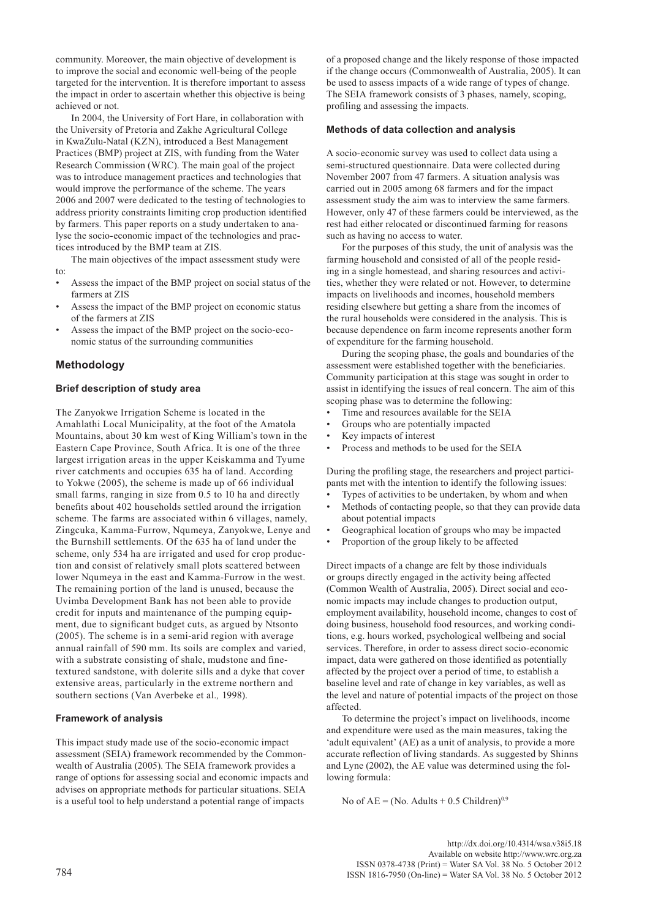community. Moreover, the main objective of development is to improve the social and economic well-being of the people targeted for the intervention. It is therefore important to assess the impact in order to ascertain whether this objective is being achieved or not.

In 2004, the University of Fort Hare, in collaboration with the University of Pretoria and Zakhe Agricultural College in KwaZulu-Natal (KZN), introduced a Best Management Practices (BMP) project at ZIS, with funding from the Water Research Commission (WRC). The main goal of the project was to introduce management practices and technologies that would improve the performance of the scheme. The years 2006 and 2007 were dedicated to the testing of technologies to address priority constraints limiting crop production identified by farmers. This paper reports on a study undertaken to analyse the socio-economic impact of the technologies and practices introduced by the BMP team at ZIS.

The main objectives of the impact assessment study were to:

- Assess the impact of the BMP project on social status of the farmers at ZIS
- Assess the impact of the BMP project on economic status of the farmers at ZIS
- Assess the impact of the BMP project on the socio-economic status of the surrounding communities

# **Methodology**

#### **Brief description of study area**

The Zanyokwe Irrigation Scheme is located in the Amahlathi Local Municipality, at the foot of the Amatola Mountains, about 30 km west of King William's town in the Eastern Cape Province, South Africa. It is one of the three largest irrigation areas in the upper Keiskamma and Tyume river catchments and occupies 635 ha of land. According to Yokwe (2005), the scheme is made up of 66 individual small farms, ranging in size from 0.5 to 10 ha and directly benefits about 402 households settled around the irrigation scheme. The farms are associated within 6 villages, namely, Zingcuka, Kamma-Furrow, Nqumeya, Zanyokwe, Lenye and the Burnshill settlements. Of the 635 ha of land under the scheme, only 534 ha are irrigated and used for crop production and consist of relatively small plots scattered between lower Nqumeya in the east and Kamma-Furrow in the west. The remaining portion of the land is unused, because the Uvimba Development Bank has not been able to provide credit for inputs and maintenance of the pumping equipment, due to significant budget cuts, as argued by Ntsonto (2005). The scheme is in a semi-arid region with average annual rainfall of 590 mm. Its soils are complex and varied, with a substrate consisting of shale, mudstone and finetextured sandstone, with dolerite sills and a dyke that cover extensive areas, particularly in the extreme northern and southern sections (Van Averbeke et al.*,* 1998).

#### **Framework of analysis**

This impact study made use of the socio-economic impact assessment (SEIA) framework recommended by the Commonwealth of Australia (2005). The SEIA framework provides a range of options for assessing social and economic impacts and advises on appropriate methods for particular situations. SEIA is a useful tool to help understand a potential range of impacts

of a proposed change and the likely response of those impacted if the change occurs (Commonwealth of Australia, 2005). It can be used to assess impacts of a wide range of types of change. The SEIA framework consists of 3 phases, namely, scoping, profiling and assessing the impacts.

#### **Methods of data collection and analysis**

A socio-economic survey was used to collect data using a semi-structured questionnaire. Data were collected during November 2007 from 47 farmers. A situation analysis was carried out in 2005 among 68 farmers and for the impact assessment study the aim was to interview the same farmers. However, only 47 of these farmers could be interviewed, as the rest had either relocated or discontinued farming for reasons such as having no access to water.

For the purposes of this study, the unit of analysis was the farming household and consisted of all of the people residing in a single homestead, and sharing resources and activities, whether they were related or not. However, to determine impacts on livelihoods and incomes, household members residing elsewhere but getting a share from the incomes of the rural households were considered in the analysis. This is because dependence on farm income represents another form of expenditure for the farming household.

During the scoping phase, the goals and boundaries of the assessment were established together with the beneficiaries. Community participation at this stage was sought in order to assist in identifying the issues of real concern. The aim of this scoping phase was to determine the following:

- Time and resources available for the SEIA
- Groups who are potentially impacted
- Key impacts of interest
- Process and methods to be used for the SEIA

During the profiling stage, the researchers and project participants met with the intention to identify the following issues:

- Types of activities to be undertaken, by whom and when
- Methods of contacting people, so that they can provide data about potential impacts
- Geographical location of groups who may be impacted
- Proportion of the group likely to be affected

Direct impacts of a change are felt by those individuals or groups directly engaged in the activity being affected (Common Wealth of Australia, 2005). Direct social and economic impacts may include changes to production output, employment availability, household income, changes to cost of doing business, household food resources, and working conditions, e.g. hours worked, psychological wellbeing and social services. Therefore, in order to assess direct socio-economic impact, data were gathered on those identified as potentially affected by the project over a period of time, to establish a baseline level and rate of change in key variables, as well as the level and nature of potential impacts of the project on those affected.

To determine the project's impact on livelihoods, income and expenditure were used as the main measures, taking the 'adult equivalent' (AE) as a unit of analysis, to provide a more accurate reflection of living standards. As suggested by Shinns and Lyne (2002), the AE value was determined using the following formula:

No of  $AE = (No.$  Adults + 0.5 Children)<sup>0.9</sup>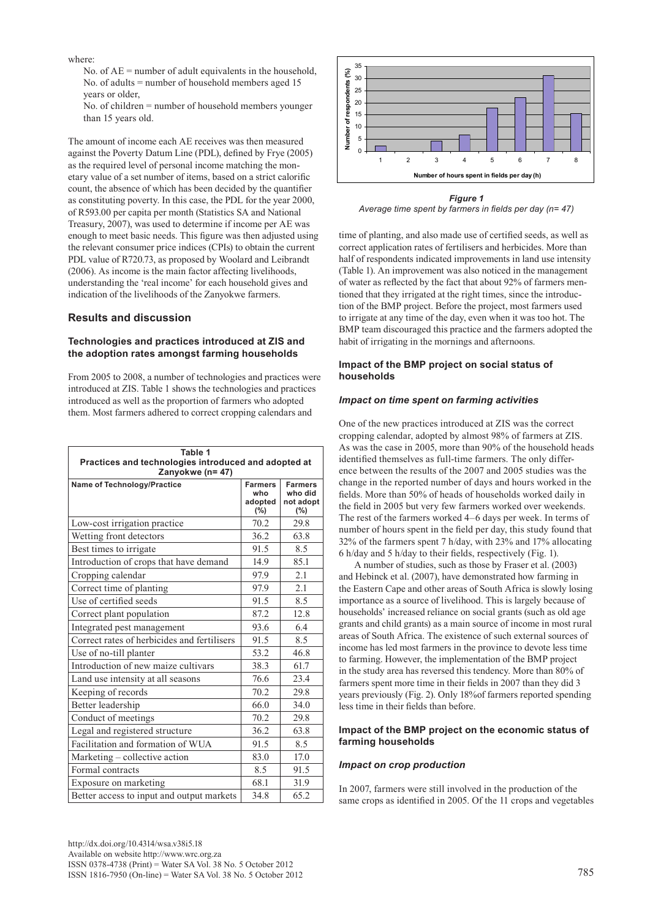#### where:

No. of  $AE$  = number of adult equivalents in the household, No. of adults = number of household members aged 15 years or older,

No. of children = number of household members younger than 15 years old.

The amount of income each AE receives was then measured against the Poverty Datum Line (PDL), defined by Frye (2005) as the required level of personal income matching the monetary value of a set number of items, based on a strict calorific count, the absence of which has been decided by the quantifier as constituting poverty. In this case, the PDL for the year 2000, of R593.00 per capita per month (Statistics SA and National Treasury, 2007), was used to determine if income per AE was enough to meet basic needs. This figure was then adjusted using the relevant consumer price indices (CPIs) to obtain the current PDL value of R720.73, as proposed by Woolard and Leibrandt (2006). As income is the main factor affecting livelihoods, understanding the 'real income' for each household gives and indication of the livelihoods of the Zanyokwe farmers.

# **Results and discussion**

#### **Technologies and practices introduced at ZIS and the adoption rates amongst farming households**

From 2005 to 2008, a number of technologies and practices were introduced at ZIS. Table 1 shows the technologies and practices introduced as well as the proportion of farmers who adopted them. Most farmers adhered to correct cropping calendars and

| Table 1<br>Practices and technologies introduced and adopted at<br>Zanyokwe (n= 47) |                                         |                                               |
|-------------------------------------------------------------------------------------|-----------------------------------------|-----------------------------------------------|
| <b>Name of Technology/Practice</b>                                                  | <b>Farmers</b><br>who<br>adopted<br>(%) | <b>Farmers</b><br>who did<br>not adopt<br>(%) |
| Low-cost irrigation practice                                                        | 70.2                                    | 29.8                                          |
| Wetting front detectors                                                             | 36.2                                    | 63.8                                          |
| Best times to irrigate                                                              | 91.5                                    | 8.5                                           |
| Introduction of crops that have demand                                              | 14.9                                    | 85.1                                          |
| Cropping calendar                                                                   | 97.9                                    | 2.1                                           |
| Correct time of planting                                                            | 97.9                                    | 2.1                                           |
| Use of certified seeds                                                              | 91.5                                    | 8.5                                           |
| Correct plant population                                                            | 87.2                                    | 12.8                                          |
| Integrated pest management                                                          | 93.6                                    | 6.4                                           |
| Correct rates of herbicides and fertilisers                                         | 91.5                                    | 8.5                                           |
| Use of no-till planter                                                              | 53.2                                    | 46.8                                          |
| Introduction of new maize cultivars                                                 | 38.3                                    | 61.7                                          |
| Land use intensity at all seasons                                                   | 76.6                                    | 23.4                                          |
| Keeping of records                                                                  | 70.2                                    | 29.8                                          |
| Better leadership                                                                   | 66.0                                    | 34.0                                          |
| Conduct of meetings                                                                 | 70.2                                    | 29.8                                          |
| Legal and registered structure                                                      | 36.2                                    | 63.8                                          |
| Facilitation and formation of WUA                                                   | 91.5                                    | 8.5                                           |
| Marketing - collective action                                                       | 83.0                                    | 17.0                                          |
| Formal contracts                                                                    | 8.5                                     | 91.5                                          |
| Exposure on marketing                                                               | 68.1                                    | 31.9                                          |
| Better access to input and output markets                                           | 34.8                                    | 65.2                                          |



*Figure 1 Average time spent by farmers in fields per day (n= 47)* 

time of planting, and also made use of certified seeds, as well as correct application rates of fertilisers and herbicides. More than half of respondents indicated improvements in land use intensity (Table 1). An improvement was also noticed in the management of water as reflected by the fact that about 92% of farmers mentioned that they irrigated at the right times, since the introduction of the BMP project. Before the project, most farmers used to irrigate at any time of the day, even when it was too hot. The BMP team discouraged this practice and the farmers adopted the habit of irrigating in the mornings and afternoons.

#### **Impact of the BMP project on social status of households**

#### *Impact on time spent on farming activities*

One of the new practices introduced at ZIS was the correct cropping calendar, adopted by almost 98% of farmers at ZIS. As was the case in 2005, more than 90% of the household heads identified themselves as full-time farmers. The only difference between the results of the 2007 and 2005 studies was the change in the reported number of days and hours worked in the fields. More than 50% of heads of households worked daily in the field in 2005 but very few farmers worked over weekends. The rest of the farmers worked 4–6 days per week. In terms of number of hours spent in the field per day, this study found that 32% of the farmers spent 7 h/day, with 23% and 17% allocating 6 h/day and 5 h/day to their fields, respectively (Fig. 1).

A number of studies, such as those by Fraser et al. (2003) and Hebinck et al. (2007), have demonstrated how farming in the Eastern Cape and other areas of South Africa is slowly losing importance as a source of livelihood. This is largely because of households' increased reliance on social grants (such as old age grants and child grants) as a main source of income in most rural areas of South Africa. The existence of such external sources of income has led most farmers in the province to devote less time to farming. However, the implementation of the BMP project in the study area has reversed this tendency. More than 80% of farmers spent more time in their fields in 2007 than they did 3 years previously (Fig. 2). Only 18%of farmers reported spending less time in their fields than before.

#### **Impact of the BMP project on the economic status of farming households**

#### *Impact on crop production*

In 2007, farmers were still involved in the production of the same crops as identified in 2005. Of the 11 crops and vegetables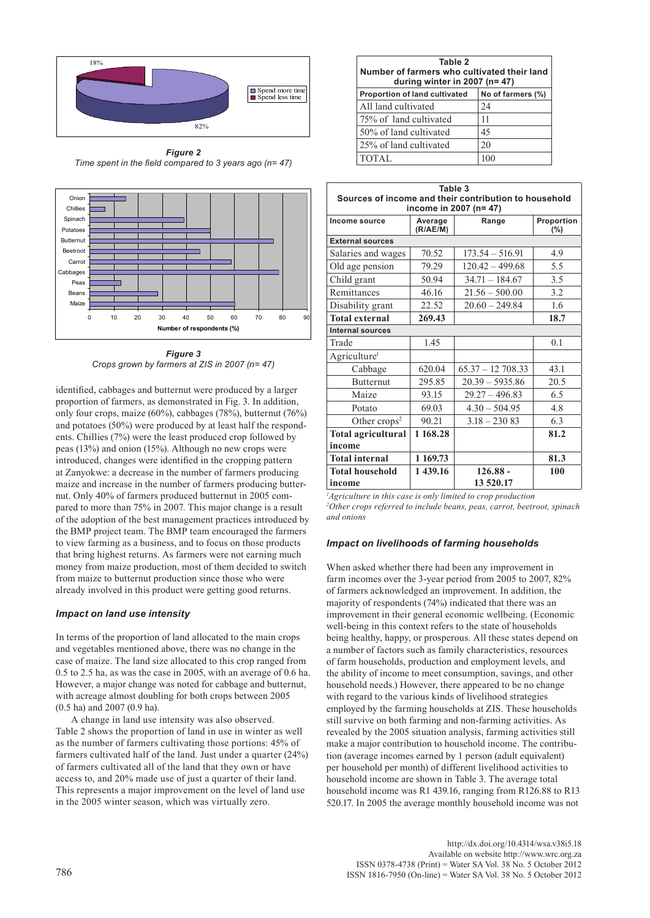

*Figure 2 Time spent in the field compared to 3 years ago (n= 47)* 



*Figure 3 Crops grown by farmers at ZIS in 2007 (n= 47)* 

identified, cabbages and butternut were produced by a larger proportion of farmers, as demonstrated in Fig. 3. In addition, only four crops, maize (60%), cabbages (78%), butternut (76%) and potatoes (50%) were produced by at least half the respondents. Chillies (7%) were the least produced crop followed by peas (13%) and onion (15%). Although no new crops were introduced, changes were identified in the cropping pattern at Zanyokwe: a decrease in the number of farmers producing maize and increase in the number of farmers producing butternut. Only 40% of farmers produced butternut in 2005 compared to more than 75% in 2007. This major change is a result of the adoption of the best management practices introduced by the BMP project team. The BMP team encouraged the farmers to view farming as a business, and to focus on those products that bring highest returns. As farmers were not earning much money from maize production, most of them decided to switch from maize to butternut production since those who were already involved in this product were getting good returns.

#### *Impact on land use intensity*

In terms of the proportion of land allocated to the main crops and vegetables mentioned above, there was no change in the case of maize. The land size allocated to this crop ranged from 0.5 to 2.5 ha, as was the case in 2005, with an average of 0.6 ha. However, a major change was noted for cabbage and butternut, with acreage almost doubling for both crops between 2005 (0.5 ha) and 2007 (0.9 ha).

A change in land use intensity was also observed. Table 2 shows the proportion of land in use in winter as well as the number of farmers cultivating those portions: 45% of farmers cultivated half of the land. Just under a quarter (24%) of farmers cultivated all of the land that they own or have access to, and 20% made use of just a quarter of their land. This represents a major improvement on the level of land use in the 2005 winter season, which was virtually zero.

| Table 2<br>Number of farmers who cultivated their land<br>during winter in 2007 ( $n = 47$ ) |                   |  |
|----------------------------------------------------------------------------------------------|-------------------|--|
| <b>Proportion of land cultivated</b>                                                         | No of farmers (%) |  |
| All land cultivated                                                                          | 24                |  |
| 75% of land cultivated                                                                       | 11                |  |
| 50% of land cultivated                                                                       | 45                |  |
| 25% of land cultivated                                                                       | 20                |  |
| TOTAL                                                                                        |                   |  |

| Table 3<br>Sources of income and their contribution to household<br>income in 2007 (n= 47) |                     |                            |      |
|--------------------------------------------------------------------------------------------|---------------------|----------------------------|------|
| Income source                                                                              | Average<br>(R/AE/M) | Proportion<br>Range<br>(%) |      |
| <b>External sources</b>                                                                    |                     |                            |      |
| Salaries and wages                                                                         | 70.52               | $173.54 - 516.91$          | 4.9  |
| Old age pension                                                                            | 79.29               | $120.42 - 499.68$<br>5.5   |      |
| Child grant                                                                                | 50.94               | 3.5<br>$34.71 - 184.67$    |      |
| Remittances                                                                                | 46.16               | $21.56 - 500.00$           | 3.2  |
| Disability grant                                                                           | 22.52               | $20.60 - 249.84$           | 1.6  |
| <b>Total external</b>                                                                      | 269.43              |                            | 18.7 |
| <b>Internal sources</b>                                                                    |                     |                            |      |
| Trade                                                                                      | 1.45                |                            | 0.1  |
| Agriculture <sup>1</sup>                                                                   |                     |                            |      |
| Cabbage                                                                                    | 620.04              | $65.37 - 12.708.33$        | 43.1 |
| <b>Butternut</b>                                                                           | 295.85              | 20.5<br>$20.39 - 5935.86$  |      |
| Maize                                                                                      | 93.15               | $29.27 - 496.83$           | 6.5  |
| Potato                                                                                     | 69.03               | $4.30 - 504.95$            | 4.8  |
| Other crops <sup>2</sup>                                                                   | 90.21               | $3.18 - 23083$<br>6.3      |      |
| 1 1 68.28<br><b>Total agricultural</b>                                                     |                     |                            | 81.2 |
| income                                                                                     |                     |                            |      |
| <b>Total internal</b>                                                                      | 1 169.73            |                            | 81.3 |
| <b>Total household</b>                                                                     | 1 439.16            | $126.88 -$<br>100          |      |
| income                                                                                     |                     | 13 520.17                  |      |

*1 Agriculture in this case is only limited to crop production 2 Other crops referred to include beans, peas, carrot, beetroot, spinach and onions*

# *Impact on livelihoods of farming households*

When asked whether there had been any improvement in farm incomes over the 3-year period from 2005 to 2007, 82% of farmers acknowledged an improvement. In addition, the majority of respondents (74%) indicated that there was an improvement in their general economic wellbeing. (Economic well-being in this context refers to the state of households being healthy, happy, or prosperous. All these states depend on a number of factors such as family characteristics, resources of farm households, production and employment levels, and the ability of income to meet consumption, savings, and other household needs.) However, there appeared to be no change with regard to the various kinds of livelihood strategies employed by the farming households at ZIS. These households still survive on both farming and non-farming activities. As revealed by the 2005 situation analysis, farming activities still make a major contribution to household income. The contribution (average incomes earned by 1 person (adult equivalent) per household per month) of different livelihood activities to household income are shown in Table 3. The average total household income was R1 439.16, ranging from R126.88 to R13 520.17. In 2005 the average monthly household income was not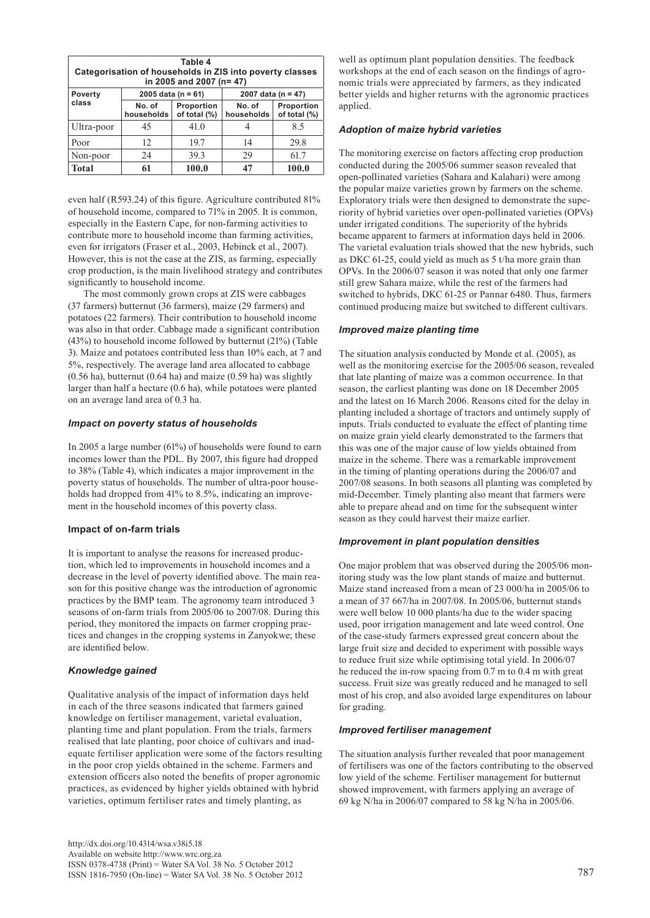| Table 4<br>Categorisation of households in ZIS into poverty classes<br>in 2005 and 2007 (n= 47) |                        |                            |                        |                                   |  |
|-------------------------------------------------------------------------------------------------|------------------------|----------------------------|------------------------|-----------------------------------|--|
| Poverty                                                                                         | 2005 data ( $n = 61$ ) |                            | 2007 data ( $n = 47$ ) |                                   |  |
| class                                                                                           | No. of<br>households   | Proportion<br>of total (%) | No. of<br>households   | <b>Proportion</b><br>of total (%) |  |
| Ultra-poor                                                                                      | 45                     | 41.0                       |                        | 8.5                               |  |
| Poor                                                                                            | 12                     | 19.7                       | 14                     | 29.8                              |  |
| Non-poor                                                                                        | 24                     | 39.3                       | 29                     | 61.7                              |  |
| <b>Total</b>                                                                                    | 61                     | 100.0                      | 47                     | 100.0                             |  |

even half (R593.24) of this figure. Agriculture contributed 81% of household income, compared to 71% in 2005. It is common, especially in the Eastern Cape, for non-farming activities to contribute more to household income than farming activities, even for irrigators (Fraser et al., 2003, Hebinck et al., 2007). However, this is not the case at the ZIS, as farming, especially crop production, is the main livelihood strategy and contributes significantly to household income.

The most commonly grown crops at ZIS were cabbages (37 farmers) butternut (36 farmers), maize (29 farmers) and potatoes (22 farmers). Their contribution to household income was also in that order. Cabbage made a significant contribution (43%) to household income followed by butternut (21%) (Table 3). Maize and potatoes contributed less than 10% each, at 7 and 5%, respectively. The average land area allocated to cabbage  $(0.56 \text{ ha})$ , butternut  $(0.64 \text{ ha})$  and maize  $(0.59 \text{ ha})$  was slightly larger than half a hectare (0.6 ha), while potatoes were planted on an average land area of 0.3 ha.

#### *Impact on poverty status of households*

In 2005 a large number (61%) of households were found to earn incomes lower than the PDL. By 2007, this figure had dropped to 38% (Table 4), which indicates a major improvement in the poverty status of households. The number of ultra-poor households had dropped from 41% to 8.5%, indicating an improvement in the household incomes of this poverty class.

#### **Impact of on-farm trials**

It is important to analyse the reasons for increased production, which led to improvements in household incomes and a decrease in the level of poverty identified above. The main reason for this positive change was the introduction of agronomic practices by the BMP team. The agronomy team introduced 3 seasons of on-farm trials from 2005/06 to 2007/08. During this period, they monitored the impacts on farmer cropping practices and changes in the cropping systems in Zanyokwe; these are identified below.

#### *Knowledge gained*

Qualitative analysis of the impact of information days held in each of the three seasons indicated that farmers gained knowledge on fertiliser management, varietal evaluation, planting time and plant population. From the trials, farmers realised that late planting, poor choice of cultivars and inadequate fertiliser application were some of the factors resulting in the poor crop yields obtained in the scheme. Farmers and extension officers also noted the benefits of proper agronomic practices, as evidenced by higher yields obtained with hybrid varieties, optimum fertiliser rates and timely planting, as

well as optimum plant population densities. The feedback workshops at the end of each season on the findings of agronomic trials were appreciated by farmers, as they indicated better yields and higher returns with the agronomic practices applied.

#### *Adoption of maize hybrid varieties*

The monitoring exercise on factors affecting crop production conducted during the 2005/06 summer season revealed that open-pollinated varieties (Sahara and Kalahari) were among the popular maize varieties grown by farmers on the scheme. Exploratory trials were then designed to demonstrate the superiority of hybrid varieties over open-pollinated varieties (OPVs) under irrigated conditions. The superiority of the hybrids became apparent to farmers at information days held in 2006. The varietal evaluation trials showed that the new hybrids, such as DKC 61-25, could yield as much as 5 t/ha more grain than OPVs. In the 2006/07 season it was noted that only one farmer still grew Sahara maize, while the rest of the farmers had switched to hybrids, DKC 61-25 or Pannar 6480. Thus, farmers continued producing maize but switched to different cultivars.

#### *Improved maize planting time*

The situation analysis conducted by Monde et al. (2005), as well as the monitoring exercise for the 2005/06 season, revealed that late planting of maize was a common occurrence. In that season, the earliest planting was done on 18 December 2005 and the latest on 16 March 2006. Reasons cited for the delay in planting included a shortage of tractors and untimely supply of inputs. Trials conducted to evaluate the effect of planting time on maize grain yield clearly demonstrated to the farmers that this was one of the major cause of low yields obtained from maize in the scheme. There was a remarkable improvement in the timing of planting operations during the 2006/07 and 2007/08 seasons. In both seasons all planting was completed by mid-December. Timely planting also meant that farmers were able to prepare ahead and on time for the subsequent winter season as they could harvest their maize earlier.

# *Improvement in plant population densities*

One major problem that was observed during the 2005/06 monitoring study was the low plant stands of maize and butternut. Maize stand increased from a mean of 23 000/ha in 2005/06 to a mean of 37 667/ha in 2007/08. In 2005/06, butternut stands were well below 10 000 plants/ha due to the wider spacing used, poor irrigation management and late weed control. One of the case-study farmers expressed great concern about the large fruit size and decided to experiment with possible ways to reduce fruit size while optimising total yield. In 2006/07 he reduced the in-row spacing from 0.7 m to 0.4 m with great success. Fruit size was greatly reduced and he managed to sell most of his crop, and also avoided large expenditures on labour for grading.

#### *Improved fertiliser management*

The situation analysis further revealed that poor management of fertilisers was one of the factors contributing to the observed low yield of the scheme. Fertiliser management for butternut showed improvement, with farmers applying an average of 69 kg N/ha in 2006/07 compared to 58 kg N/ha in 2005/06.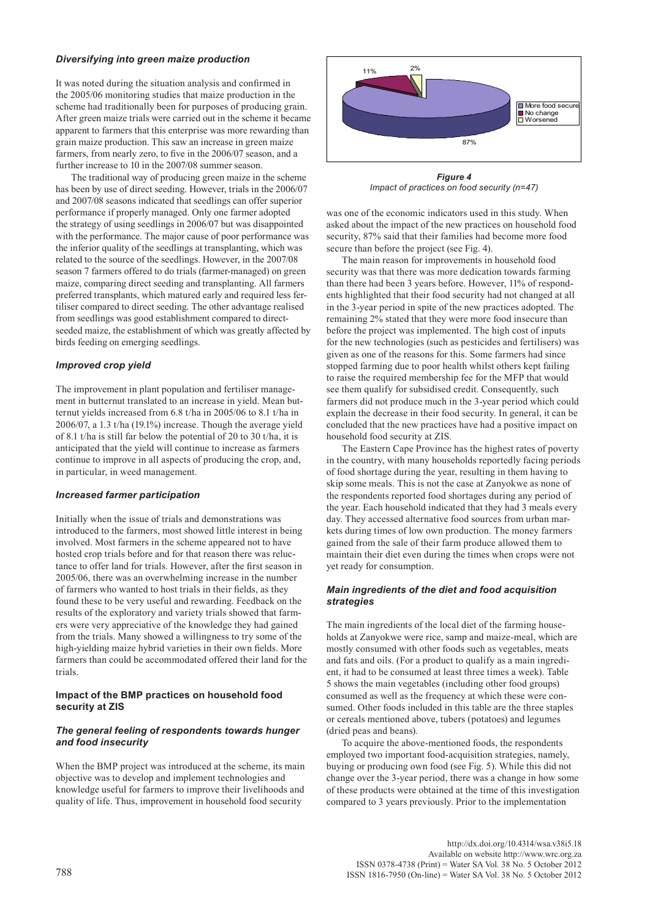#### *Diversifying into green maize production*

It was noted during the situation analysis and confirmed in the 2005/06 monitoring studies that maize production in the scheme had traditionally been for purposes of producing grain. After green maize trials were carried out in the scheme it became apparent to farmers that this enterprise was more rewarding than grain maize production. This saw an increase in green maize farmers, from nearly zero, to five in the 2006/07 season, and a further increase to 10 in the 2007/08 summer season.

The traditional way of producing green maize in the scheme has been by use of direct seeding. However, trials in the 2006/07 and 2007/08 seasons indicated that seedlings can offer superior performance if properly managed. Only one farmer adopted the strategy of using seedlings in 2006/07 but was disappointed with the performance. The major cause of poor performance was the inferior quality of the seedlings at transplanting, which was related to the source of the seedlings. However, in the 2007/08 season 7 farmers offered to do trials (farmer-managed) on green maize, comparing direct seeding and transplanting. All farmers preferred transplants, which matured early and required less fertiliser compared to direct seeding. The other advantage realised from seedlings was good establishment compared to directseeded maize, the establishment of which was greatly affected by birds feeding on emerging seedlings.

#### *Improved crop yield*

The improvement in plant population and fertiliser management in butternut translated to an increase in yield. Mean butternut yields increased from 6.8 t/ha in 2005/06 to 8.1 t/ha in 2006/07, a 1.3 t/ha (19.1%) increase. Though the average yield of 8.1 t/ha is still far below the potential of 20 to 30 t/ha, it is anticipated that the yield will continue to increase as farmers continue to improve in all aspects of producing the crop, and, in particular, in weed management.

#### *Increased farmer participation*

Initially when the issue of trials and demonstrations was introduced to the farmers, most showed little interest in being involved. Most farmers in the scheme appeared not to have hosted crop trials before and for that reason there was reluctance to offer land for trials. However, after the first season in 2005/06, there was an overwhelming increase in the number of farmers who wanted to host trials in their fields, as they found these to be very useful and rewarding. Feedback on the results of the exploratory and variety trials showed that farmers were very appreciative of the knowledge they had gained from the trials. Many showed a willingness to try some of the high-yielding maize hybrid varieties in their own fields. More farmers than could be accommodated offered their land for the trials.

#### **Impact of the BMP practices on household food security at ZIS**

#### *The general feeling of respondents towards hunger and food insecurity*

When the BMP project was introduced at the scheme, its main objective was to develop and implement technologies and knowledge useful for farmers to improve their livelihoods and quality of life. Thus, improvement in household food security



*Figure 4 Impact of practices on food security (n=47)*

was one of the economic indicators used in this study. When asked about the impact of the new practices on household food security, 87% said that their families had become more food secure than before the project (see Fig. 4).

The main reason for improvements in household food security was that there was more dedication towards farming than there had been 3 years before. However, 11% of respondents highlighted that their food security had not changed at all in the 3-year period in spite of the new practices adopted. The remaining 2% stated that they were more food insecure than before the project was implemented. The high cost of inputs for the new technologies (such as pesticides and fertilisers) was given as one of the reasons for this. Some farmers had since stopped farming due to poor health whilst others kept failing to raise the required membership fee for the MFP that would see them qualify for subsidised credit. Consequently, such farmers did not produce much in the 3-year period which could explain the decrease in their food security. In general, it can be concluded that the new practices have had a positive impact on household food security at ZIS.

The Eastern Cape Province has the highest rates of poverty in the country, with many households reportedly facing periods of food shortage during the year, resulting in them having to skip some meals. This is not the case at Zanyokwe as none of the respondents reported food shortages during any period of the year. Each household indicated that they had 3 meals every day. They accessed alternative food sources from urban markets during times of low own production. The money farmers gained from the sale of their farm produce allowed them to maintain their diet even during the times when crops were not yet ready for consumption.

#### *Main ingredients of the diet and food acquisition strategies*

The main ingredients of the local diet of the farming households at Zanyokwe were rice, samp and maize-meal, which are mostly consumed with other foods such as vegetables, meats and fats and oils. (For a product to qualify as a main ingredient, it had to be consumed at least three times a week). Table 5 shows the main vegetables (including other food groups) consumed as well as the frequency at which these were consumed. Other foods included in this table are the three staples or cereals mentioned above, tubers (potatoes) and legumes (dried peas and beans).

To acquire the above-mentioned foods, the respondents employed two important food-acquisition strategies, namely, buying or producing own food (see Fig. 5). While this did not change over the 3-year period, there was a change in how some of these products were obtained at the time of this investigation compared to 3 years previously. Prior to the implementation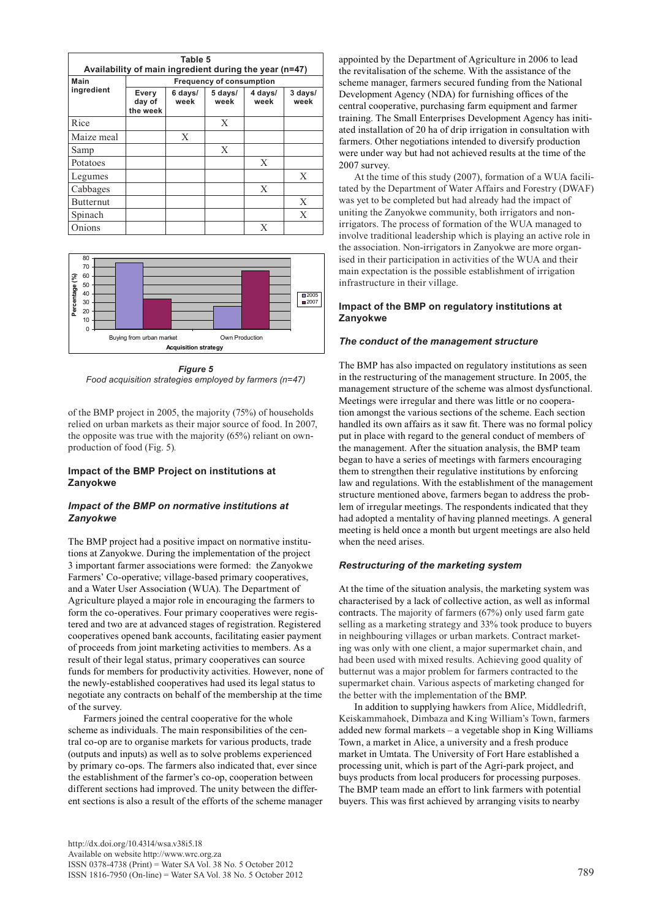| Table 5<br>Availability of main ingredient during the year (n=47) |                                 |                 |                 |                 |                 |
|-------------------------------------------------------------------|---------------------------------|-----------------|-----------------|-----------------|-----------------|
| Main                                                              | <b>Frequency of consumption</b> |                 |                 |                 |                 |
| ingredient                                                        | Every<br>day of<br>the week     | 6 days/<br>week | 5 days/<br>week | 4 days/<br>week | 3 days/<br>week |
| Rice                                                              |                                 |                 | X               |                 |                 |
| Maize meal                                                        |                                 | X               |                 |                 |                 |
| Samp                                                              |                                 |                 | X               |                 |                 |
| Potatoes                                                          |                                 |                 |                 | X               |                 |
| Legumes                                                           |                                 |                 |                 |                 | X               |
| Cabbages                                                          |                                 |                 |                 | X               |                 |
| <b>Butternut</b>                                                  |                                 |                 |                 |                 | X               |
| Spinach                                                           |                                 |                 |                 |                 | X               |
| Onions                                                            |                                 |                 |                 | X               |                 |



*Figure 5 Food acquisition strategies employed by farmers (n=47)*

of the BMP project in 2005, the majority (75%) of households relied on urban markets as their major source of food. In 2007, the opposite was true with the majority (65%) reliant on ownproduction of food (Fig. 5)*.*

#### **Impact of the BMP Project on institutions at Zanyokwe**

#### *Impact of the BMP on normative institutions at Zanyokwe*

The BMP project had a positive impact on normative institutions at Zanyokwe. During the implementation of the project 3 important farmer associations were formed: the Zanyokwe Farmers' Co-operative; village-based primary cooperatives, and a Water User Association (WUA). The Department of Agriculture played a major role in encouraging the farmers to form the co-operatives. Four primary cooperatives were registered and two are at advanced stages of registration. Registered cooperatives opened bank accounts, facilitating easier payment of proceeds from joint marketing activities to members. As a result of their legal status, primary cooperatives can source funds for members for productivity activities. However, none of the newly-established cooperatives had used its legal status to negotiate any contracts on behalf of the membership at the time of the survey.

Farmers joined the central cooperative for the whole scheme as individuals. The main responsibilities of the central co-op are to organise markets for various products, trade (outputs and inputs) as well as to solve problems experienced by primary co-ops. The farmers also indicated that, ever since the establishment of the farmer's co-op, cooperation between different sections had improved. The unity between the different sections is also a result of the efforts of the scheme manager

[http://dx.doi.org/10.4314/wsa.v38i5.18](http://dx.doi.org/10.4314/wsa.v37i4.18) Available on website http://www.wrc.org.za ISSN 0378-4738 (Print) = Water SA Vol. 38 No. 5 October 2012 ISSN 1816-7950 (On-line) = Water SA Vol. 38 No. 5 October 2012 789

appointed by the Department of Agriculture in 2006 to lead the revitalisation of the scheme. With the assistance of the scheme manager, farmers secured funding from the National Development Agency (NDA) for furnishing offices of the central cooperative, purchasing farm equipment and farmer training. The Small Enterprises Development Agency has initiated installation of 20 ha of drip irrigation in consultation with farmers. Other negotiations intended to diversify production were under way but had not achieved results at the time of the 2007 survey.

At the time of this study (2007), formation of a WUA facilitated by the Department of Water Affairs and Forestry (DWAF) was yet to be completed but had already had the impact of uniting the Zanyokwe community, both irrigators and nonirrigators. The process of formation of the WUA managed to involve traditional leadership which is playing an active role in the association. Non-irrigators in Zanyokwe are more organised in their participation in activities of the WUA and their main expectation is the possible establishment of irrigation infrastructure in their village.

#### **Impact of the BMP on regulatory institutions at Zanyokwe**

#### *The conduct of the management structure*

The BMP has also impacted on regulatory institutions as seen in the restructuring of the management structure. In 2005, the management structure of the scheme was almost dysfunctional. Meetings were irregular and there was little or no cooperation amongst the various sections of the scheme. Each section handled its own affairs as it saw fit. There was no formal policy put in place with regard to the general conduct of members of the management. After the situation analysis, the BMP team began to have a series of meetings with farmers encouraging them to strengthen their regulative institutions by enforcing law and regulations. With the establishment of the management structure mentioned above, farmers began to address the problem of irregular meetings. The respondents indicated that they had adopted a mentality of having planned meetings. A general meeting is held once a month but urgent meetings are also held when the need arises.

#### *Restructuring of the marketing system*

At the time of the situation analysis, the marketing system was characterised by a lack of collective action, as well as informal contracts. The majority of farmers (67%) only used farm gate selling as a marketing strategy and 33% took produce to buyers in neighbouring villages or urban markets. Contract marketing was only with one client, a major supermarket chain, and had been used with mixed results. Achieving good quality of butternut was a major problem for farmers contracted to the supermarket chain. Various aspects of marketing changed for the better with the implementation of the BMP.

In addition to supplying hawkers from Alice, Middledrift, Keiskammahoek, Dimbaza and King William's Town, farmers added new formal markets – a vegetable shop in King Williams Town, a market in Alice, a university and a fresh produce market in Umtata. The University of Fort Hare established a processing unit, which is part of the Agri-park project, and buys products from local producers for processing purposes. The BMP team made an effort to link farmers with potential buyers. This was first achieved by arranging visits to nearby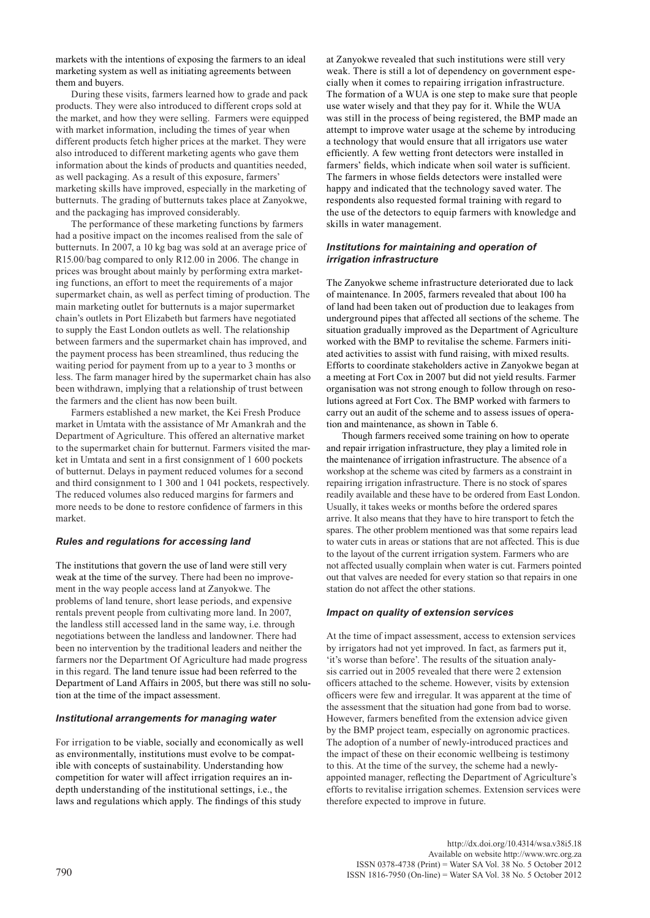markets with the intentions of exposing the farmers to an ideal marketing system as well as initiating agreements between them and buyers.

During these visits, farmers learned how to grade and pack products. They were also introduced to different crops sold at the market, and how they were selling. Farmers were equipped with market information, including the times of year when different products fetch higher prices at the market. They were also introduced to different marketing agents who gave them information about the kinds of products and quantities needed, as well packaging. As a result of this exposure, farmers' marketing skills have improved, especially in the marketing of butternuts. The grading of butternuts takes place at Zanyokwe, and the packaging has improved considerably.

The performance of these marketing functions by farmers had a positive impact on the incomes realised from the sale of butternuts. In 2007, a 10 kg bag was sold at an average price of R15.00/bag compared to only R12.00 in 2006. The change in prices was brought about mainly by performing extra marketing functions, an effort to meet the requirements of a major supermarket chain, as well as perfect timing of production. The main marketing outlet for butternuts is a major supermarket chain's outlets in Port Elizabeth but farmers have negotiated to supply the East London outlets as well. The relationship between farmers and the supermarket chain has improved, and the payment process has been streamlined, thus reducing the waiting period for payment from up to a year to 3 months or less. The farm manager hired by the supermarket chain has also been withdrawn, implying that a relationship of trust between the farmers and the client has now been built.

Farmers established a new market, the Kei Fresh Produce market in Umtata with the assistance of Mr Amankrah and the Department of Agriculture. This offered an alternative market to the supermarket chain for butternut. Farmers visited the market in Umtata and sent in a first consignment of 1 600 pockets of butternut. Delays in payment reduced volumes for a second and third consignment to 1 300 and 1 041 pockets, respectively. The reduced volumes also reduced margins for farmers and more needs to be done to restore confidence of farmers in this market.

#### *Rules and regulations for accessing land*

The institutions that govern the use of land were still very weak at the time of the survey. There had been no improvement in the way people access land at Zanyokwe. The problems of land tenure, short lease periods, and expensive rentals prevent people from cultivating more land. In 2007, the landless still accessed land in the same way, i.e. through negotiations between the landless and landowner. There had been no intervention by the traditional leaders and neither the farmers nor the Department Of Agriculture had made progress in this regard. The land tenure issue had been referred to the Department of Land Affairs in 2005, but there was still no solution at the time of the impact assessment.

#### *Institutional arrangements for managing water*

For irrigation to be viable, socially and economically as well as environmentally, institutions must evolve to be compatible with concepts of sustainability. Understanding how competition for water will affect irrigation requires an indepth understanding of the institutional settings, i.e., the laws and regulations which apply. The findings of this study

at Zanyokwe revealed that such institutions were still very weak. There is still a lot of dependency on government especially when it comes to repairing irrigation infrastructure. The formation of a WUA is one step to make sure that people use water wisely and that they pay for it. While the WUA was still in the process of being registered, the BMP made an attempt to improve water usage at the scheme by introducing a technology that would ensure that all irrigators use water efficiently. A few wetting front detectors were installed in farmers' fields, which indicate when soil water is sufficient. The farmers in whose fields detectors were installed were happy and indicated that the technology saved water. The respondents also requested formal training with regard to the use of the detectors to equip farmers with knowledge and skills in water management.

#### *Institutions for maintaining and operation of irrigation infrastructure*

The Zanyokwe scheme infrastructure deteriorated due to lack of maintenance. In 2005, farmers revealed that about 100 ha of land had been taken out of production due to leakages from underground pipes that affected all sections of the scheme. The situation gradually improved as the Department of Agriculture worked with the BMP to revitalise the scheme. Farmers initiated activities to assist with fund raising, with mixed results. Efforts to coordinate stakeholders active in Zanyokwe began at a meeting at Fort Cox in 2007 but did not yield results. Farmer organisation was not strong enough to follow through on resolutions agreed at Fort Cox. The BMP worked with farmers to carry out an audit of the scheme and to assess issues of operation and maintenance, as shown in Table 6.

Though farmers received some training on how to operate and repair irrigation infrastructure, they play a limited role in the maintenance of irrigation infrastructure. The absence of a workshop at the scheme was cited by farmers as a constraint in repairing irrigation infrastructure. There is no stock of spares readily available and these have to be ordered from East London. Usually, it takes weeks or months before the ordered spares arrive. It also means that they have to hire transport to fetch the spares. The other problem mentioned was that some repairs lead to water cuts in areas or stations that are not affected. This is due to the layout of the current irrigation system. Farmers who are not affected usually complain when water is cut. Farmers pointed out that valves are needed for every station so that repairs in one station do not affect the other stations.

#### *Impact on quality of extension services*

At the time of impact assessment, access to extension services by irrigators had not yet improved. In fact, as farmers put it, 'it's worse than before'. The results of the situation analysis carried out in 2005 revealed that there were 2 extension officers attached to the scheme. However, visits by extension officers were few and irregular. It was apparent at the time of the assessment that the situation had gone from bad to worse. However, farmers benefited from the extension advice given by the BMP project team, especially on agronomic practices. The adoption of a number of newly-introduced practices and the impact of these on their economic wellbeing is testimony to this. At the time of the survey, the scheme had a newlyappointed manager, reflecting the Department of Agriculture's efforts to revitalise irrigation schemes. Extension services were therefore expected to improve in future.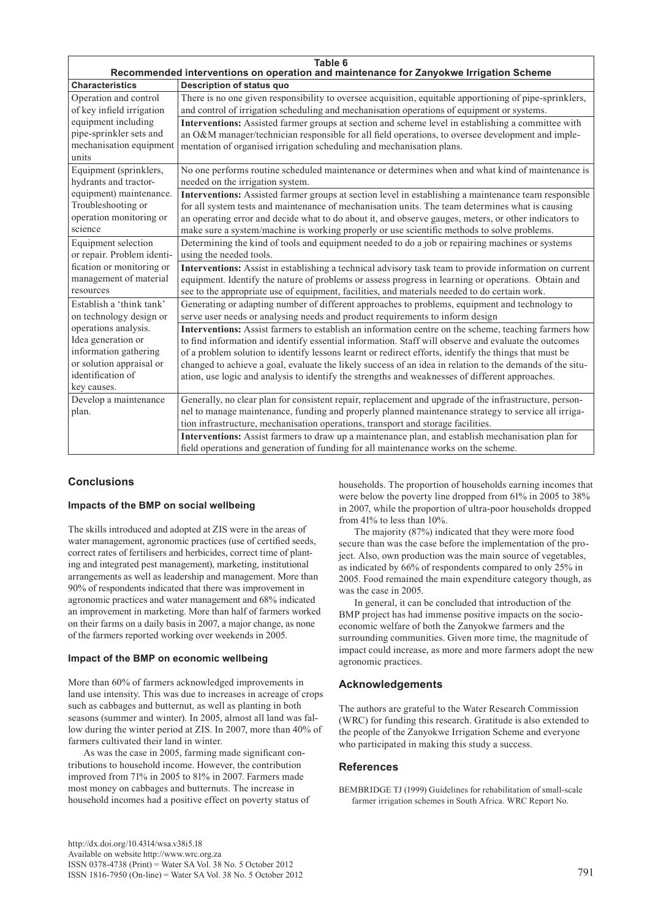| Table 6<br>Recommended interventions on operation and maintenance for Zanyokwe Irrigation Scheme                                    |                                                                                                                                                                                                                                                                                                                                                                                                                                                                                                                                        |  |
|-------------------------------------------------------------------------------------------------------------------------------------|----------------------------------------------------------------------------------------------------------------------------------------------------------------------------------------------------------------------------------------------------------------------------------------------------------------------------------------------------------------------------------------------------------------------------------------------------------------------------------------------------------------------------------------|--|
| <b>Characteristics</b>                                                                                                              | Description of status quo                                                                                                                                                                                                                                                                                                                                                                                                                                                                                                              |  |
| Operation and control                                                                                                               | There is no one given responsibility to oversee acquisition, equitable apportioning of pipe-sprinklers,                                                                                                                                                                                                                                                                                                                                                                                                                                |  |
| of key infield irrigation                                                                                                           | and control of irrigation scheduling and mechanisation operations of equipment or systems.                                                                                                                                                                                                                                                                                                                                                                                                                                             |  |
| equipment including<br>pipe-sprinkler sets and<br>mechanisation equipment<br>units                                                  | Interventions: Assisted farmer groups at section and scheme level in establishing a committee with<br>an O&M manager/technician responsible for all field operations, to oversee development and imple-<br>mentation of organised irrigation scheduling and mechanisation plans.                                                                                                                                                                                                                                                       |  |
| Equipment (sprinklers,                                                                                                              | No one performs routine scheduled maintenance or determines when and what kind of maintenance is                                                                                                                                                                                                                                                                                                                                                                                                                                       |  |
| hydrants and tractor-                                                                                                               | needed on the irrigation system.                                                                                                                                                                                                                                                                                                                                                                                                                                                                                                       |  |
| equipment) maintenance.                                                                                                             | Interventions: Assisted farmer groups at section level in establishing a maintenance team responsible                                                                                                                                                                                                                                                                                                                                                                                                                                  |  |
| Troubleshooting or                                                                                                                  | for all system tests and maintenance of mechanisation units. The team determines what is causing                                                                                                                                                                                                                                                                                                                                                                                                                                       |  |
| operation monitoring or                                                                                                             | an operating error and decide what to do about it, and observe gauges, meters, or other indicators to                                                                                                                                                                                                                                                                                                                                                                                                                                  |  |
| science                                                                                                                             | make sure a system/machine is working properly or use scientific methods to solve problems.                                                                                                                                                                                                                                                                                                                                                                                                                                            |  |
| Equipment selection                                                                                                                 | Determining the kind of tools and equipment needed to do a job or repairing machines or systems                                                                                                                                                                                                                                                                                                                                                                                                                                        |  |
| or repair. Problem identi-                                                                                                          | using the needed tools.                                                                                                                                                                                                                                                                                                                                                                                                                                                                                                                |  |
| fication or monitoring or                                                                                                           | Interventions: Assist in establishing a technical advisory task team to provide information on current                                                                                                                                                                                                                                                                                                                                                                                                                                 |  |
| management of material                                                                                                              | equipment. Identify the nature of problems or assess progress in learning or operations. Obtain and                                                                                                                                                                                                                                                                                                                                                                                                                                    |  |
| resources                                                                                                                           | see to the appropriate use of equipment, facilities, and materials needed to do certain work.                                                                                                                                                                                                                                                                                                                                                                                                                                          |  |
| Establish a 'think tank'                                                                                                            | Generating or adapting number of different approaches to problems, equipment and technology to                                                                                                                                                                                                                                                                                                                                                                                                                                         |  |
| on technology design or                                                                                                             | serve user needs or analysing needs and product requirements to inform design                                                                                                                                                                                                                                                                                                                                                                                                                                                          |  |
| operations analysis.<br>Idea generation or<br>information gathering<br>or solution appraisal or<br>identification of<br>key causes. | Interventions: Assist farmers to establish an information centre on the scheme, teaching farmers how<br>to find information and identify essential information. Staff will observe and evaluate the outcomes<br>of a problem solution to identify lessons learnt or redirect efforts, identify the things that must be<br>changed to achieve a goal, evaluate the likely success of an idea in relation to the demands of the situ-<br>ation, use logic and analysis to identify the strengths and weaknesses of different approaches. |  |
| Develop a maintenance<br>plan.                                                                                                      | Generally, no clear plan for consistent repair, replacement and upgrade of the infrastructure, person-<br>nel to manage maintenance, funding and properly planned maintenance strategy to service all irriga-<br>tion infrastructure, mechanisation operations, transport and storage facilities.                                                                                                                                                                                                                                      |  |
|                                                                                                                                     | Interventions: Assist farmers to draw up a maintenance plan, and establish mechanisation plan for<br>field operations and generation of funding for all maintenance works on the scheme.                                                                                                                                                                                                                                                                                                                                               |  |

# **Conclusions**

# **Impacts of the BMP on social wellbeing**

The skills introduced and adopted at ZIS were in the areas of water management, agronomic practices (use of certified seeds, correct rates of fertilisers and herbicides, correct time of planting and integrated pest management), marketing, institutional arrangements as well as leadership and management. More than 90% of respondents indicated that there was improvement in agronomic practices and water management and 68% indicated an improvement in marketing. More than half of farmers worked on their farms on a daily basis in 2007, a major change, as none of the farmers reported working over weekends in 2005.

# **Impact of the BMP on economic wellbeing**

More than 60% of farmers acknowledged improvements in land use intensity. This was due to increases in acreage of crops such as cabbages and butternut, as well as planting in both seasons (summer and winter). In 2005, almost all land was fallow during the winter period at ZIS. In 2007, more than 40% of farmers cultivated their land in winter.

As was the case in 2005, farming made significant contributions to household income. However, the contribution improved from 71% in 2005 to 81% in 2007. Farmers made most money on cabbages and butternuts. The increase in household incomes had a positive effect on poverty status of

as indicated by 66% of respondents compared to only 25% in 2005. Food remained the main expenditure category though, as was the case in 2005. In general, it can be concluded that introduction of the BMP project has had immense positive impacts on the socio-

economic welfare of both the Zanyokwe farmers and the surrounding communities. Given more time, the magnitude of impact could increase, as more and more farmers adopt the new agronomic practices.

households. The proportion of households earning incomes that were below the poverty line dropped from 61% in 2005 to 38% in 2007, while the proportion of ultra-poor households dropped

The majority (87%) indicated that they were more food secure than was the case before the implementation of the project. Also, own production was the main source of vegetables,

# **Acknowledgements**

from 41% to less than 10%.

The authors are grateful to the Water Research Commission (WRC) for funding this research. Gratitude is also extended to the people of the Zanyokwe Irrigation Scheme and everyone who participated in making this study a success.

# **References**

BEMBRIDGE TJ (1999) Guidelines for rehabilitation of small-scale farmer irrigation schemes in South Africa. WRC Report No.